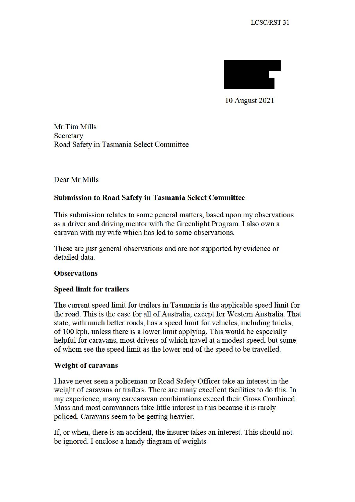

10 August 2021

Mr Tim Mills **Secretary** Road Safety in Tasmania Select Committee

Dear Mr Mills

#### **Submission to Road Safety in Tasmania Select Committee**

This submission relates to some general matters, based upon my observations as a driver and driving mentor with the Greenlight Program. I also own a caravan with my wife which has led to some observations.

These are just general observations and are not supported by evidence or detailed data.

#### **Observations**

#### **Speed limit for trailers**

The current speed limit for trailers in Tasmania is the applicable speed limit for the road. This is the case for all of Australia, except for Western Australia. That state, with much better roads, has a speed limit for vehicles, including trucks, of I 00 kph, unless there is a lower limit applying. This would be especially helpful for caravans, most drivers of which travel at a modest speed, but some of whom see the speed limit as the lower end of the speed to be travelled.

#### **Weight of caravans**

I have never seen a policeman or Road Safety Officer take an interest in the weight of caravans or trailers. There are many excellent facilities to do this. In my experience, many car/caravan combinations exceed their Gross Combined Mass and most caravanners take little interest in this because it is rarely policed. Caravans seem to be getting heavier.

If, or when, there is an accident, the insurer takes an interest. This should not be ignored. I enclose a handy diagram of weights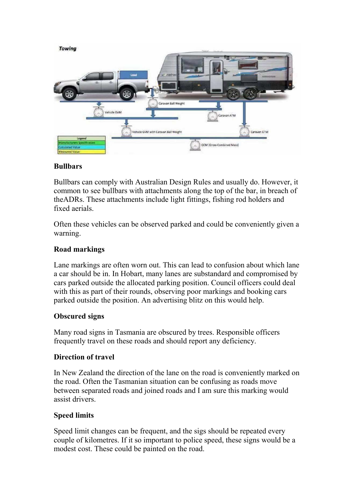

## **Bullbars**

Bullbars can comply with Australian Design Rules and usually do. However, it common to see bullbars with attachments along the top of the bar, in breach of theADRs. These attachments include light fittings, fishing rod holders and fixed aerials.

Often these vehicles can be observed parked and could be conveniently given a warning.

# **Road markings**

Lane markings are often worn out. This can lead to confusion about which lane a car should be in. In Hobart, many lanes are substandard and compromised by cars parked outside the allocated parking position. Council officers could deal with this as part of their rounds, observing poor markings and booking cars parked outside the position. An advertising blitz on this would help.

## **Obscured signs**

Many road signs in Tasmania are obscured by trees. Responsible officers frequently travel on these roads and should report any deficiency.

## **Direction of travel**

In New Zealand the direction of the lane on the road is conveniently marked on the road. Often the Tasmanian situation can be confusing as roads move between separated roads and joined roads and I am sure this marking would assist drivers.

## **Speed limits**

Speed limit changes can be frequent, and the sigs should be repeated every couple of kilometres. If it so important to police speed, these signs would be a modest cost. These could be painted on the road.